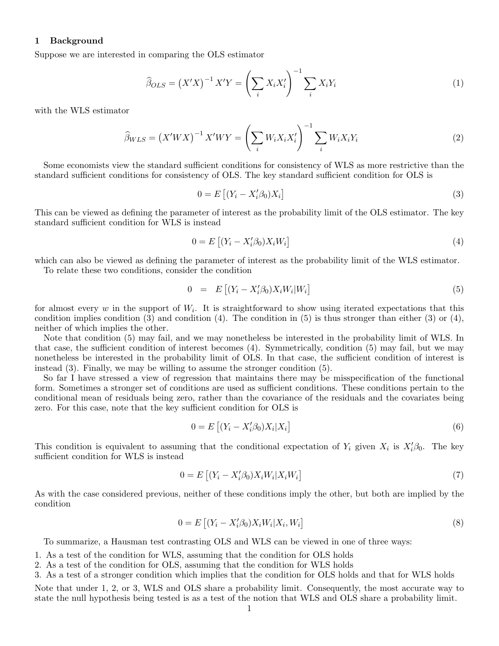## 1 Background

Suppose we are interested in comparing the OLS estimator

$$
\widehat{\beta}_{OLS} = \left(X'X\right)^{-1} X'Y = \left(\sum_{i} X_i X_i'\right)^{-1} \sum_{i} X_i Y_i \tag{1}
$$

with the WLS estimator

$$
\widehat{\beta}_{WLS} = \left(X'WX\right)^{-1} X'WY = \left(\sum_{i} W_{i}X_{i}X_{i}'\right)^{-1} \sum_{i} W_{i}X_{i}Y_{i}
$$
\n<sup>(2)</sup>

Some economists view the standard sufficient conditions for consistency of WLS as more restrictive than the standard sufficient conditions for consistency of OLS. The key standard sufficient condition for OLS is

$$
0 = E\left[ (Y_i - X_i'\beta_0)X_i \right] \tag{3}
$$

This can be viewed as defining the parameter of interest as the probability limit of the OLS estimator. The key standard sufficient condition for WLS is instead

$$
0 = E\left[ (Y_i - X_i'\beta_0)X_i W_i \right] \tag{4}
$$

which can also be viewed as defining the parameter of interest as the probability limit of the WLS estimator. To relate these two conditions, consider the condition

$$
0 = E\left[ (Y_i - X_i'\beta_0) X_i W_i | W_i \right] \tag{5}
$$

for almost every  $w$  in the support of  $W_i$ . It is straightforward to show using iterated expectations that this condition implies condition (3) and condition (4). The condition in (5) is thus stronger than either (3) or (4), neither of which implies the other.

Note that condition (5) may fail, and we may nonetheless be interested in the probability limit of WLS. In that case, the sufficient condition of interest becomes (4). Symmetrically, condition (5) may fail, but we may nonetheless be interested in the probability limit of OLS. In that case, the sufficient condition of interest is instead (3). Finally, we may be willing to assume the stronger condition (5).

So far I have stressed a view of regression that maintains there may be misspecification of the functional form. Sometimes a stronger set of conditions are used as sufficient conditions. These conditions pertain to the conditional mean of residuals being zero, rather than the covariance of the residuals and the covariates being zero. For this case, note that the key sufficient condition for OLS is

$$
0 = E\left[ (Y_i - X_i'\beta_0)X_i | X_i \right] \tag{6}
$$

This condition is equivalent to assuming that the conditional expectation of  $Y_i$  given  $X_i$  is  $X_i'\beta_0$ . The key sufficient condition for WLS is instead

$$
0 = E\left[ (Y_i - X_i'\beta_0) X_i W_i | X_i W_i \right] \tag{7}
$$

As with the case considered previous, neither of these conditions imply the other, but both are implied by the condition

$$
0 = E\left[ (Y_i - X_i'\beta_0) X_i W_i | X_i, W_i \right] \tag{8}
$$

To summarize, a Hausman test contrasting OLS and WLS can be viewed in one of three ways:

- 1. As a test of the condition for WLS, assuming that the condition for OLS holds
- 2. As a test of the condition for OLS, assuming that the condition for WLS holds
- 3. As a test of a stronger condition which implies that the condition for OLS holds and that for WLS holds

Note that under 1, 2, or 3, WLS and OLS share a probability limit. Consequently, the most accurate way to state the null hypothesis being tested is as a test of the notion that WLS and OLS share a probability limit.